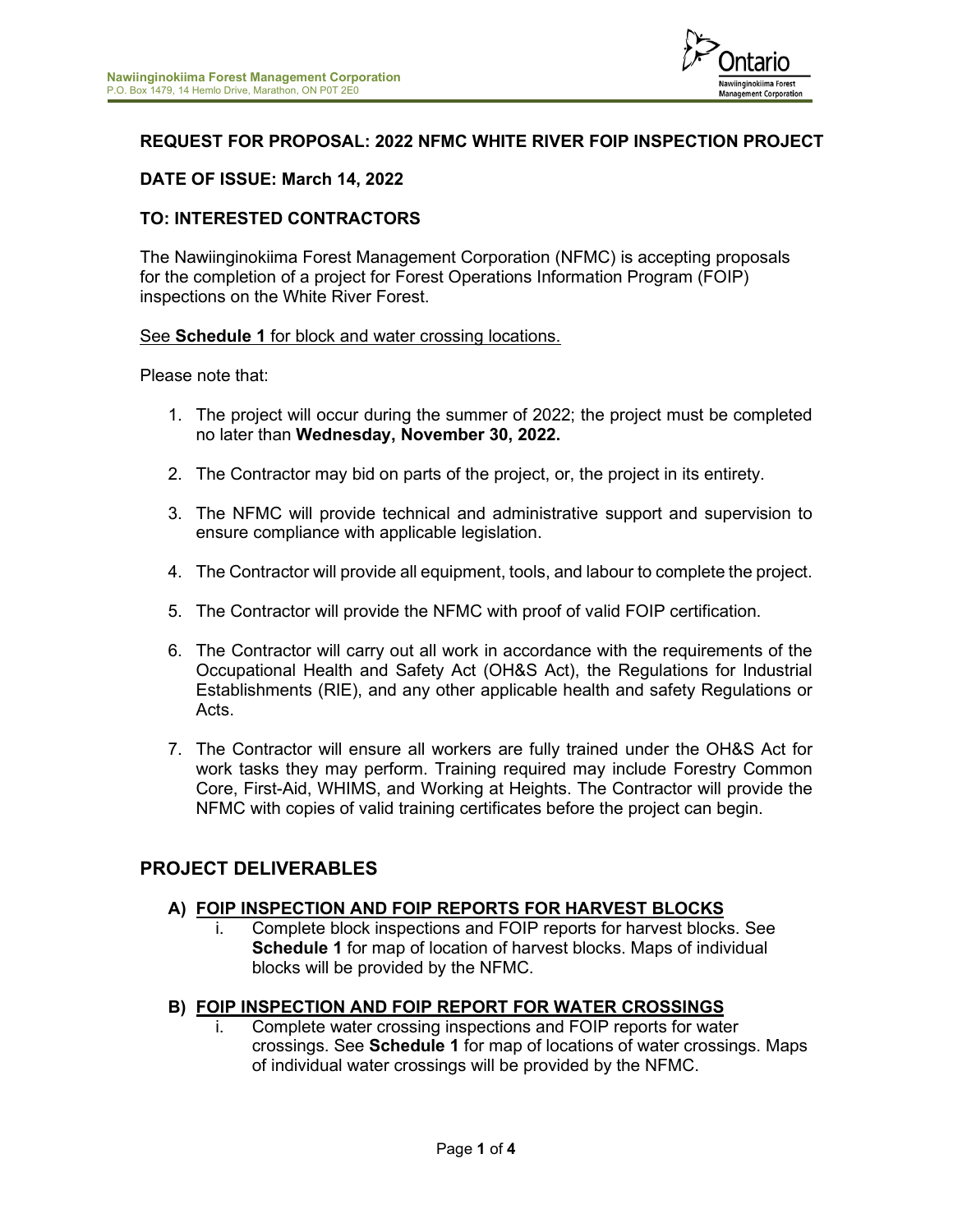

# **REQUEST FOR PROPOSAL: 2022 NFMC WHITE RIVER FOIP INSPECTION PROJECT**

# **DATE OF ISSUE: March 14, 2022**

## **TO: INTERESTED CONTRACTORS**

The Nawiinginokiima Forest Management Corporation (NFMC) is accepting proposals for the completion of a project for Forest Operations Information Program (FOIP) inspections on the White River Forest.

#### See **Schedule 1** for block and water crossing locations.

Please note that:

- 1. The project will occur during the summer of 2022; the project must be completed no later than **Wednesday, November 30, 2022.**
- 2. The Contractor may bid on parts of the project, or, the project in its entirety.
- 3. The NFMC will provide technical and administrative support and supervision to ensure compliance with applicable legislation.
- 4. The Contractor will provide all equipment, tools, and labour to complete the project.
- 5. The Contractor will provide the NFMC with proof of valid FOIP certification.
- 6. The Contractor will carry out all work in accordance with the requirements of the Occupational Health and Safety Act (OH&S Act), the Regulations for Industrial Establishments (RIE), and any other applicable health and safety Regulations or Acts.
- 7. The Contractor will ensure all workers are fully trained under the OH&S Act for work tasks they may perform. Training required may include Forestry Common Core, First-Aid, WHIMS, and Working at Heights. The Contractor will provide the NFMC with copies of valid training certificates before the project can begin.

# **PROJECT DELIVERABLES**

#### **A) FOIP INSPECTION AND FOIP REPORTS FOR HARVEST BLOCKS**

i. Complete block inspections and FOIP reports for harvest blocks. See **Schedule 1** for map of location of harvest blocks. Maps of individual blocks will be provided by the NFMC.

## **B) FOIP INSPECTION AND FOIP REPORT FOR WATER CROSSINGS**

Complete water crossing inspections and FOIP reports for water crossings. See **Schedule 1** for map of locations of water crossings. Maps of individual water crossings will be provided by the NFMC.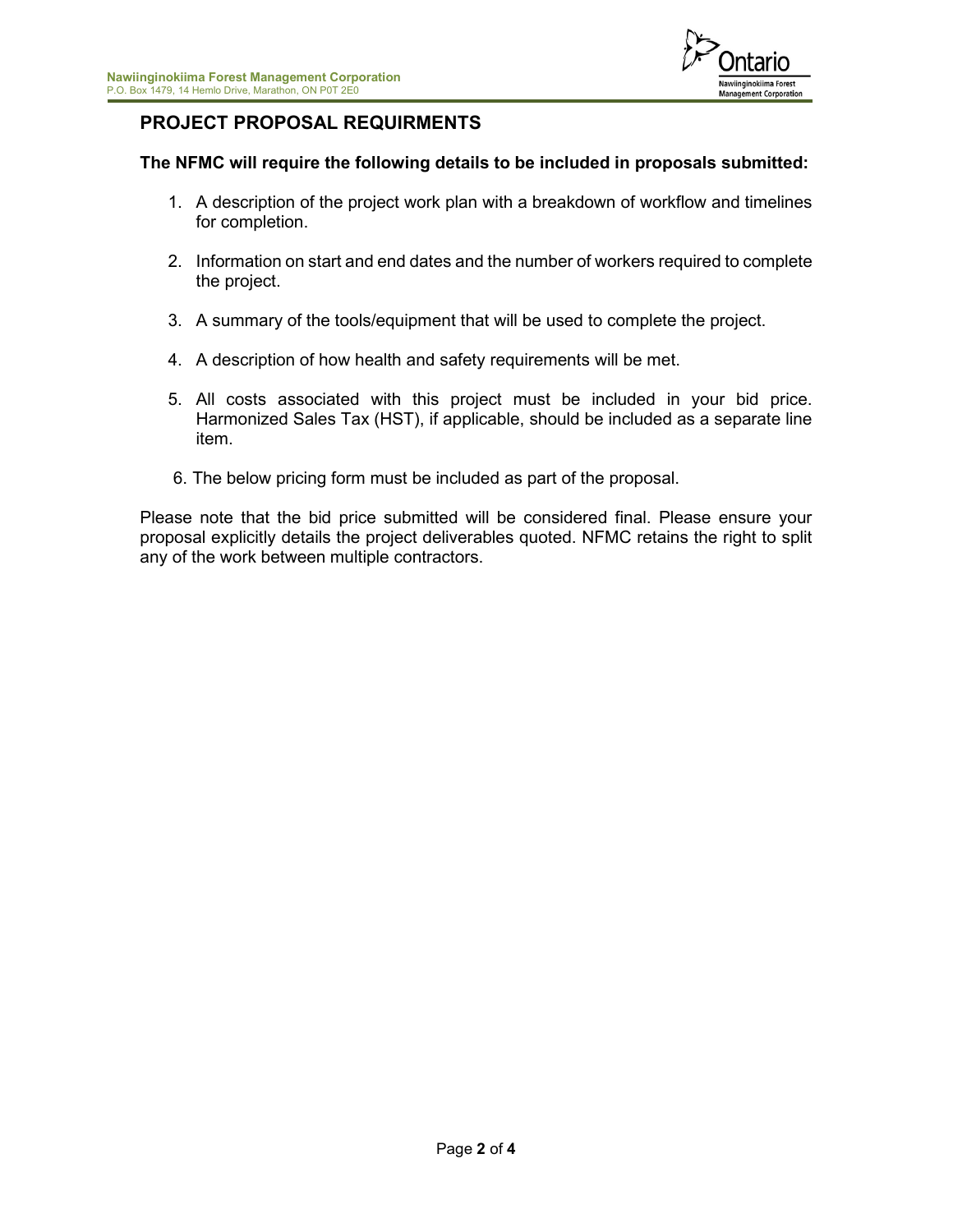

# **PROJECT PROPOSAL REQUIRMENTS**

# **The NFMC will require the following details to be included in proposals submitted:**

- 1. A description of the project work plan with a breakdown of workflow and timelines for completion.
- 2. Information on start and end dates and the number of workers required to complete the project.
- 3. A summary of the tools/equipment that will be used to complete the project.
- 4. A description of how health and safety requirements will be met.
- 5. All costs associated with this project must be included in your bid price. Harmonized Sales Tax (HST), if applicable, should be included as a separate line item.
- 6. The below pricing form must be included as part of the proposal.

Please note that the bid price submitted will be considered final. Please ensure your proposal explicitly details the project deliverables quoted. NFMC retains the right to split any of the work between multiple contractors.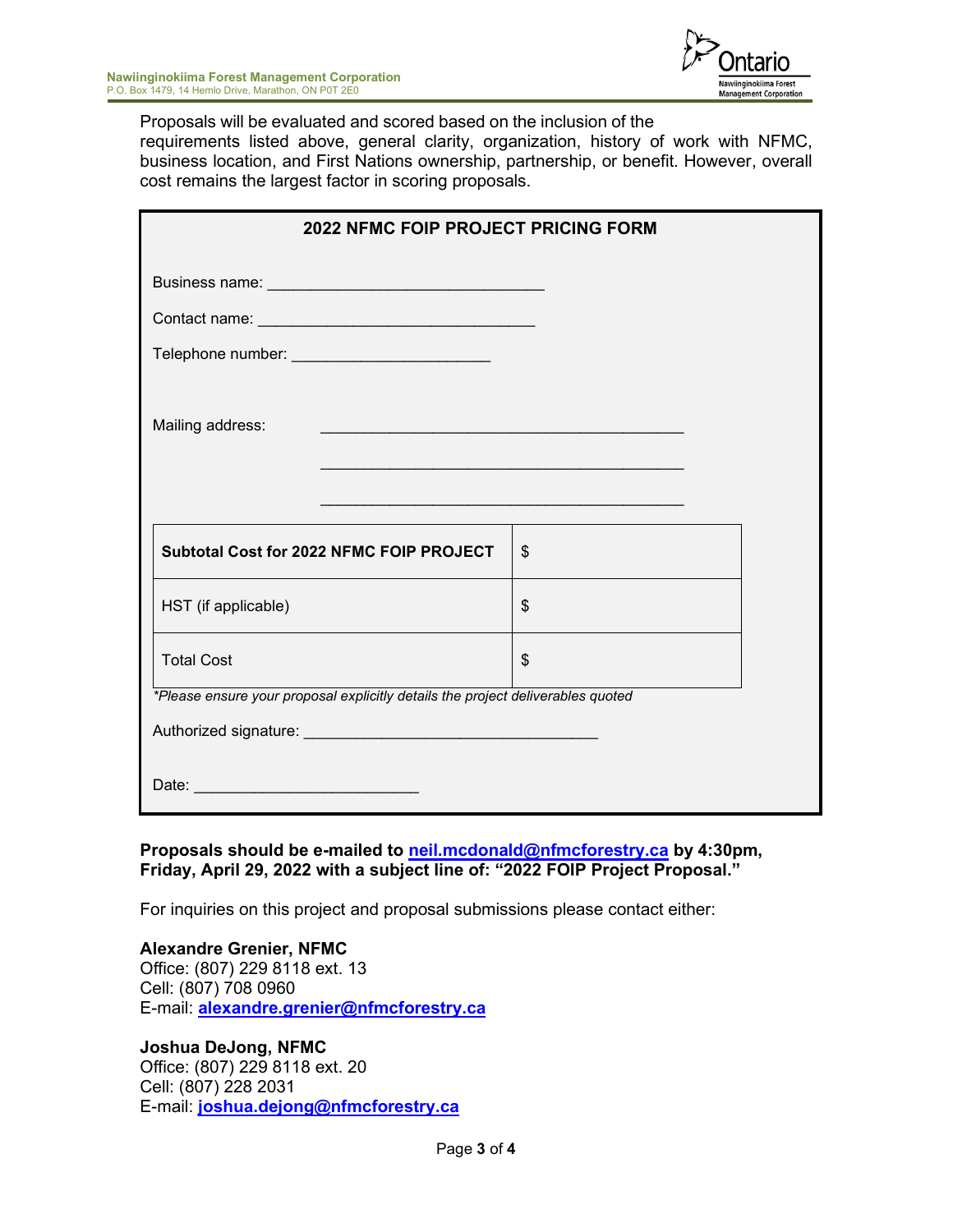

Proposals will be evaluated and scored based on the inclusion of the

requirements listed above, general clarity, organization, history of work with NFMC, business location, and First Nations ownership, partnership, or benefit. However, overall cost remains the largest factor in scoring proposals.

| <b>2022 NEMC FOIP PROJECT PRICING FORM</b>                                                                                               |                                                                                                                      |  |
|------------------------------------------------------------------------------------------------------------------------------------------|----------------------------------------------------------------------------------------------------------------------|--|
|                                                                                                                                          |                                                                                                                      |  |
|                                                                                                                                          |                                                                                                                      |  |
| Telephone number: __________________________                                                                                             |                                                                                                                      |  |
| Mailing address:<br><u> 1989 - Johann Stein, marwolaethau a bhann an t-Amhair ann an t-Amhair an t-Amhair an t-Amhair an t-Amhair an</u> | <u> 1989 - Andrea Santa Andrea Andrea Andrea Andrea Andrea Andrea Andrea Andrea Andrea Andrea Andrea Andrea Andr</u> |  |
| <b>Subtotal Cost for 2022 NFMC FOIP PROJECT</b>                                                                                          | \$                                                                                                                   |  |
| HST (if applicable)                                                                                                                      | \$                                                                                                                   |  |
| <b>Total Cost</b>                                                                                                                        | \$                                                                                                                   |  |
| *Please ensure your proposal explicitly details the project deliverables quoted                                                          |                                                                                                                      |  |
|                                                                                                                                          |                                                                                                                      |  |
| Date: <u>________________________________</u>                                                                                            |                                                                                                                      |  |

**Proposals should be e-mailed to [neil.mcdonald@nfmcforestry.ca](mailto:neil.mcdonald@nfmcforestry.ca) by 4:30pm, Friday, April 29, 2022 with a subject line of: "2022 FOIP Project Proposal."**

For inquiries on this project and proposal submissions please contact either:

**Alexandre Grenier, NFMC**  Office: (807) 229 8118 ext. 13 Cell: (807) 708 0960 E-mail: **[alexandre.grenier@nfmcforestry.ca](mailto:alexandre.grenier@nfmcforestry.ca)**

**Joshua DeJong, NFMC** Office: (807) 229 8118 ext. 20 Cell: (807) 228 2031 E-mail: **joshua.dejong@nfmcforestry.ca**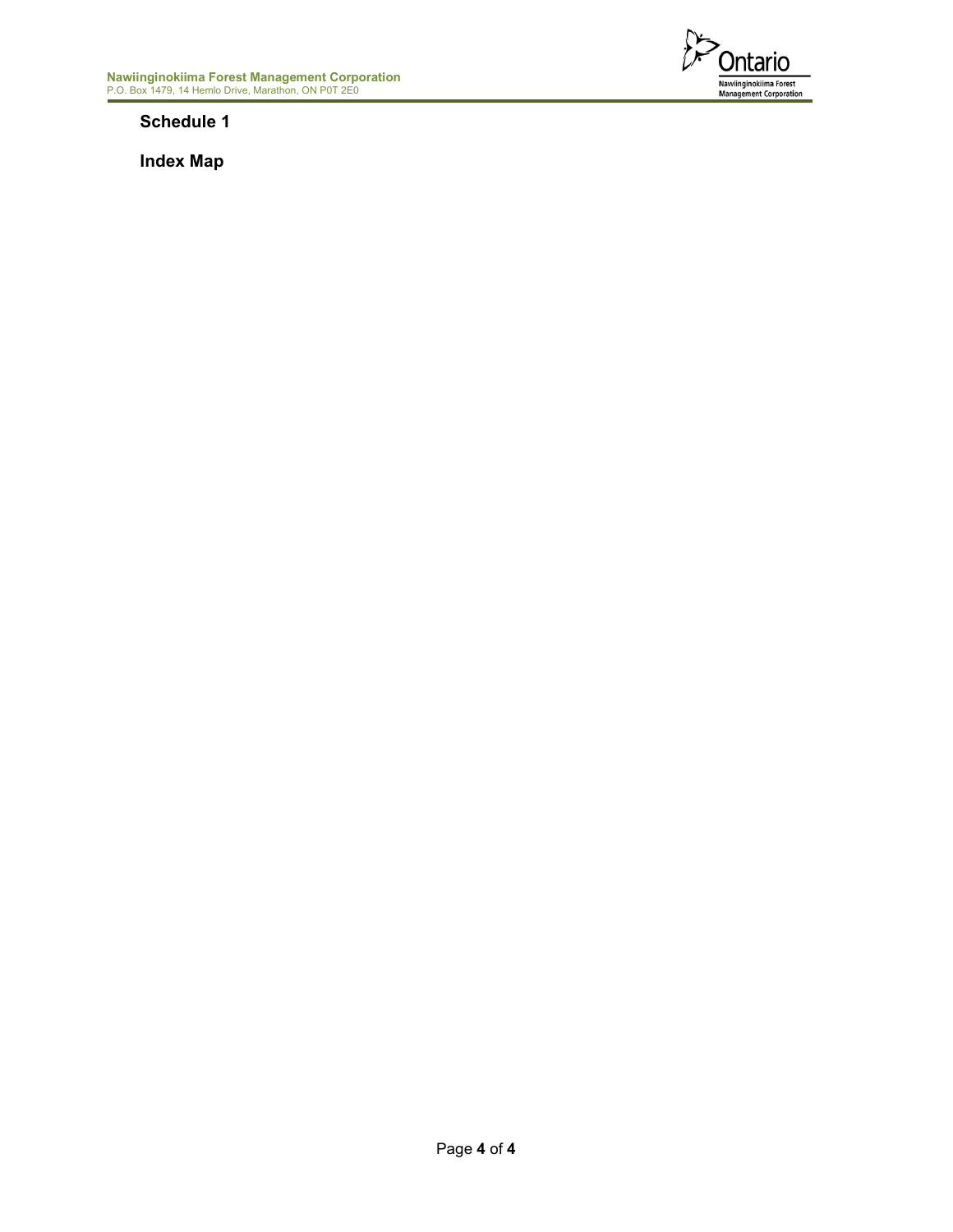

**Schedule 1**

**Index Map**